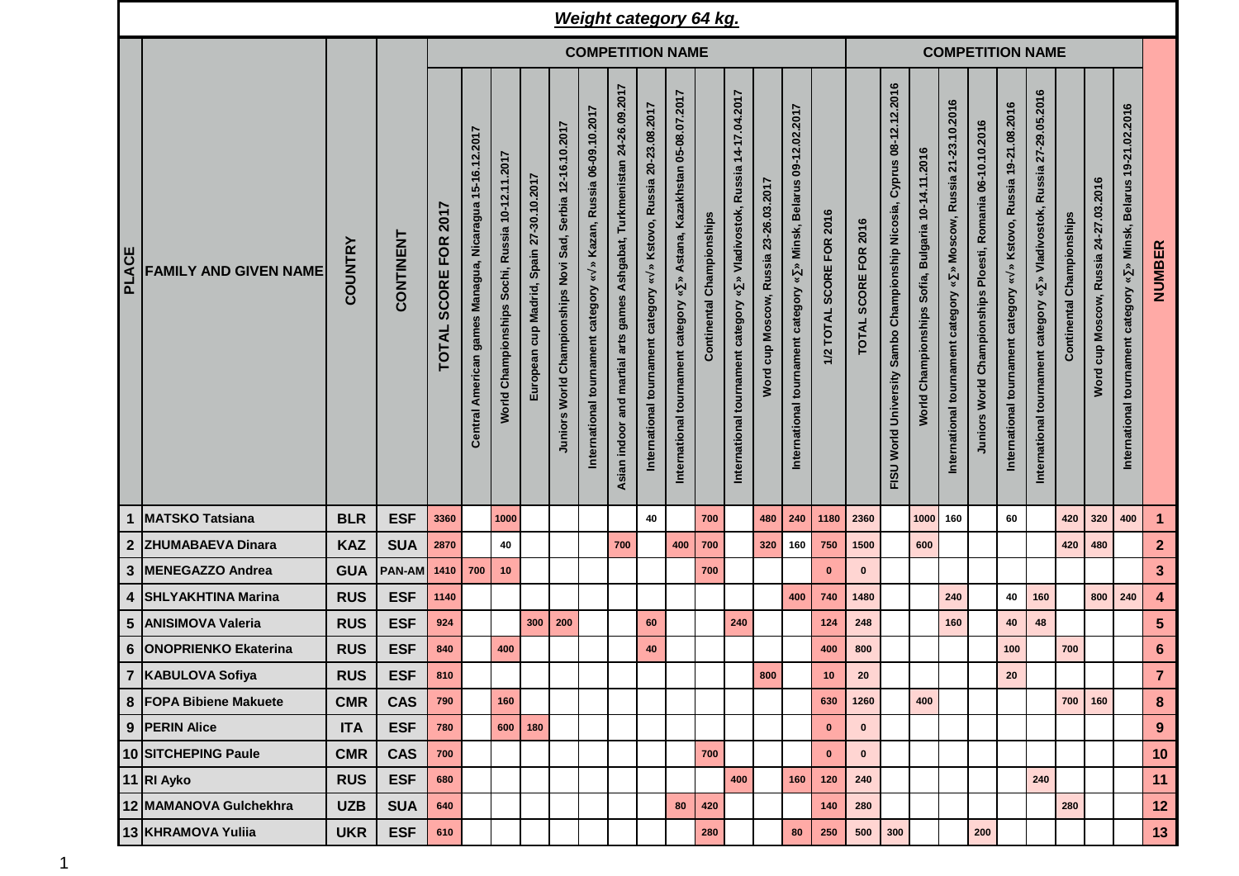|              |                              |                |            |                                             |                                                         |                                                 |                                             |                                                            | <b>Weight category 64 kg.</b>                                           |                                                                             |                                                                                                                |                                                                                                 |                              |                                                                                   |                                  |                                                                                                                    |                          |                         |                                                                                       |                                                                             |                                                                                                                        |                                                               |                                                                                  |                                                                               |                           |                                       |                                                                                            |                         |
|--------------|------------------------------|----------------|------------|---------------------------------------------|---------------------------------------------------------|-------------------------------------------------|---------------------------------------------|------------------------------------------------------------|-------------------------------------------------------------------------|-----------------------------------------------------------------------------|----------------------------------------------------------------------------------------------------------------|-------------------------------------------------------------------------------------------------|------------------------------|-----------------------------------------------------------------------------------|----------------------------------|--------------------------------------------------------------------------------------------------------------------|--------------------------|-------------------------|---------------------------------------------------------------------------------------|-----------------------------------------------------------------------------|------------------------------------------------------------------------------------------------------------------------|---------------------------------------------------------------|----------------------------------------------------------------------------------|-------------------------------------------------------------------------------|---------------------------|---------------------------------------|--------------------------------------------------------------------------------------------|-------------------------|
|              |                              |                |            | <b>COMPETITION NAME</b>                     |                                                         |                                                 |                                             |                                                            |                                                                         |                                                                             |                                                                                                                |                                                                                                 |                              |                                                                                   |                                  |                                                                                                                    |                          | <b>COMPETITION NAME</b> |                                                                                       |                                                                             |                                                                                                                        |                                                               |                                                                                  |                                                                               |                           |                                       |                                                                                            |                         |
| <b>PLACE</b> | <b>FAMILY AND GIVEN NAME</b> | <b>COUNTRY</b> | CONTINENT  | 2017<br><b>FOR</b><br>SCORE<br><b>TOTAL</b> | Central American games Managua, Nicaragua 15-16.12.2017 | World Championships Sochi, Russia 10-12.11.2017 | cup Madrid, Spain 27-30.10.2017<br>European | Juniors World Championships Novi Sad, Serbia 12-16.10.2017 | » Kazan, Russia 06-09.10.2017<br>¥<br>International tournament category | Ashgabat, Turkmenistan 24-26.09.2017<br>Asian indoor and martial arts games | Kstovo, Russia 20-23.08.2017<br>$\hat{\mathbf{z}}$<br>$\boldsymbol{\ast}$<br>International tournament category | Astana, Kazakhstan 05-08.07.2017<br>$\boldsymbol{\ast}$<br>category<br>International tournament | Championships<br>Continental | Russia 14-17.04.2017<br>Vladivostok,<br>¥<br>category<br>International tournament | cup Moscow, Russia 23-26.03.2017 | 09-12.02.2017<br><b>Belarus</b><br>Minsk,<br>$\approx$<br>$\boldsymbol{v}$<br>tournament category<br>International | 1/2 TOTAL SCORE FOR 2016 | TOTAL SCORE FOR 2016    | 08-12.12.2016<br>Cyprus<br>Championship Nicosia,<br>Sambo<br>World University<br>FISU | 10-14.11.2016<br><b>Bulgaria</b><br>Sofia,<br>Championships<br><b>World</b> | 21-23.10.2016<br>Moscow, Russia<br>$\hat{\mathbf{z}}$<br>$\breve{\phantom{a}}$<br>category<br>International tournament | Ploesti, Romania 06-10.10.2016<br>Juniors World Championships | » Kstovo, Russia 19-21.08.2016<br>$\approx$<br>International tournament category | Russia 27-29.05.2016<br>» Vladivostok,<br>International tournament category « | Continental Championships | Word cup Moscow, Russia 24-27.03.2016 | » Minsk, Belarus 19-21.02.2016<br>$\boldsymbol{\ast}$<br>International tournament category | NUMBER                  |
| 1            | <b>MATSKO Tatsiana</b>       | <b>BLR</b>     | <b>ESF</b> | 3360                                        |                                                         | 1000                                            |                                             |                                                            |                                                                         |                                                                             | 40                                                                                                             |                                                                                                 | 700                          |                                                                                   | 480                              | 240                                                                                                                | 1180                     | 2360                    |                                                                                       |                                                                             | 1000 160                                                                                                               |                                                               | 60                                                                               |                                                                               | 420                       | 320                                   | 400                                                                                        | $\mathbf{1}$            |
|              | 2 ZHUMABAEVA Dinara          | <b>KAZ</b>     | <b>SUA</b> | 2870                                        |                                                         | 40                                              |                                             |                                                            |                                                                         | 700                                                                         |                                                                                                                | 400                                                                                             | 700                          |                                                                                   | 320                              | 160                                                                                                                | 750                      | 1500                    |                                                                                       | 600                                                                         |                                                                                                                        |                                                               |                                                                                  |                                                                               | 420                       | 480                                   |                                                                                            | $\overline{2}$          |
| 3            | MENEGAZZO Andrea             | <b>GUA</b>     | PAN-AM     | 1410                                        | 700                                                     | 10                                              |                                             |                                                            |                                                                         |                                                                             |                                                                                                                |                                                                                                 | 700                          |                                                                                   |                                  |                                                                                                                    | $\mathbf 0$              | $\bf{0}$                |                                                                                       |                                                                             |                                                                                                                        |                                                               |                                                                                  |                                                                               |                           |                                       |                                                                                            | $\mathbf{3}$            |
| 4            | <b>SHLYAKHTINA Marina</b>    | <b>RUS</b>     | <b>ESF</b> | 1140                                        |                                                         |                                                 |                                             |                                                            |                                                                         |                                                                             |                                                                                                                |                                                                                                 |                              |                                                                                   |                                  | 400                                                                                                                | 740                      | 1480                    |                                                                                       |                                                                             | 240                                                                                                                    |                                                               | 40                                                                               | 160                                                                           |                           | 800                                   | 240                                                                                        | $\overline{\mathbf{4}}$ |
| 5            | <b>ANISIMOVA Valeria</b>     | <b>RUS</b>     | <b>ESF</b> | 924                                         |                                                         |                                                 | 300                                         | 200                                                        |                                                                         |                                                                             | 60                                                                                                             |                                                                                                 |                              | 240                                                                               |                                  |                                                                                                                    | 124                      | 248                     |                                                                                       |                                                                             | 160                                                                                                                    |                                                               | 40                                                                               | 48                                                                            |                           |                                       |                                                                                            | $5\phantom{.0}$         |
|              | 6   ONOPRIENKO Ekaterina     | <b>RUS</b>     | <b>ESF</b> | 840                                         |                                                         | 400                                             |                                             |                                                            |                                                                         |                                                                             | 40                                                                                                             |                                                                                                 |                              |                                                                                   |                                  |                                                                                                                    | 400                      | 800                     |                                                                                       |                                                                             |                                                                                                                        |                                                               | 100                                                                              |                                                                               | 700                       |                                       |                                                                                            | $6\phantom{1}$          |
|              | 7   KABULOVA Sofiya          | <b>RUS</b>     | <b>ESF</b> | 810                                         |                                                         |                                                 |                                             |                                                            |                                                                         |                                                                             |                                                                                                                |                                                                                                 |                              |                                                                                   | 800                              |                                                                                                                    | 10                       | 20                      |                                                                                       |                                                                             |                                                                                                                        |                                                               | 20                                                                               |                                                                               |                           |                                       |                                                                                            | $\overline{7}$          |
|              | 8 FOPA Bibiene Makuete       | <b>CMR</b>     | <b>CAS</b> | 790                                         |                                                         | 160                                             |                                             |                                                            |                                                                         |                                                                             |                                                                                                                |                                                                                                 |                              |                                                                                   |                                  |                                                                                                                    | 630                      | 1260                    |                                                                                       | 400                                                                         |                                                                                                                        |                                                               |                                                                                  |                                                                               | 700                       | 160                                   |                                                                                            | 8                       |
|              | 9 PERIN Alice                | <b>ITA</b>     | <b>ESF</b> | 780                                         |                                                         | 600                                             | 180                                         |                                                            |                                                                         |                                                                             |                                                                                                                |                                                                                                 |                              |                                                                                   |                                  |                                                                                                                    | $\mathbf 0$              | $\pmb{0}$               |                                                                                       |                                                                             |                                                                                                                        |                                                               |                                                                                  |                                                                               |                           |                                       |                                                                                            | 9                       |
|              | 10 SITCHEPING Paule          | <b>CMR</b>     | <b>CAS</b> | 700                                         |                                                         |                                                 |                                             |                                                            |                                                                         |                                                                             |                                                                                                                |                                                                                                 | 700                          |                                                                                   |                                  |                                                                                                                    | $\mathbf{0}$             | $\bf{0}$                |                                                                                       |                                                                             |                                                                                                                        |                                                               |                                                                                  |                                                                               |                           |                                       |                                                                                            | 10                      |
|              | 11 RI Ayko                   | <b>RUS</b>     | <b>ESF</b> | 680                                         |                                                         |                                                 |                                             |                                                            |                                                                         |                                                                             |                                                                                                                |                                                                                                 |                              | 400                                                                               |                                  | 160                                                                                                                | 120                      | 240                     |                                                                                       |                                                                             |                                                                                                                        |                                                               |                                                                                  | 240                                                                           |                           |                                       |                                                                                            | 11                      |
|              | 12 MAMANOVA Gulchekhra       | <b>UZB</b>     | <b>SUA</b> | 640                                         |                                                         |                                                 |                                             |                                                            |                                                                         |                                                                             |                                                                                                                | 80                                                                                              | 420                          |                                                                                   |                                  |                                                                                                                    | 140                      | 280                     |                                                                                       |                                                                             |                                                                                                                        |                                                               |                                                                                  |                                                                               | 280                       |                                       |                                                                                            | 12                      |
|              | 13 KHRAMOVA Yuliia           | <b>UKR</b>     | <b>ESF</b> | 610                                         |                                                         |                                                 |                                             |                                                            |                                                                         |                                                                             |                                                                                                                |                                                                                                 | 280                          |                                                                                   |                                  | 80                                                                                                                 | 250                      | 500                     | 300                                                                                   |                                                                             |                                                                                                                        | 200                                                           |                                                                                  |                                                                               |                           |                                       |                                                                                            | 13                      |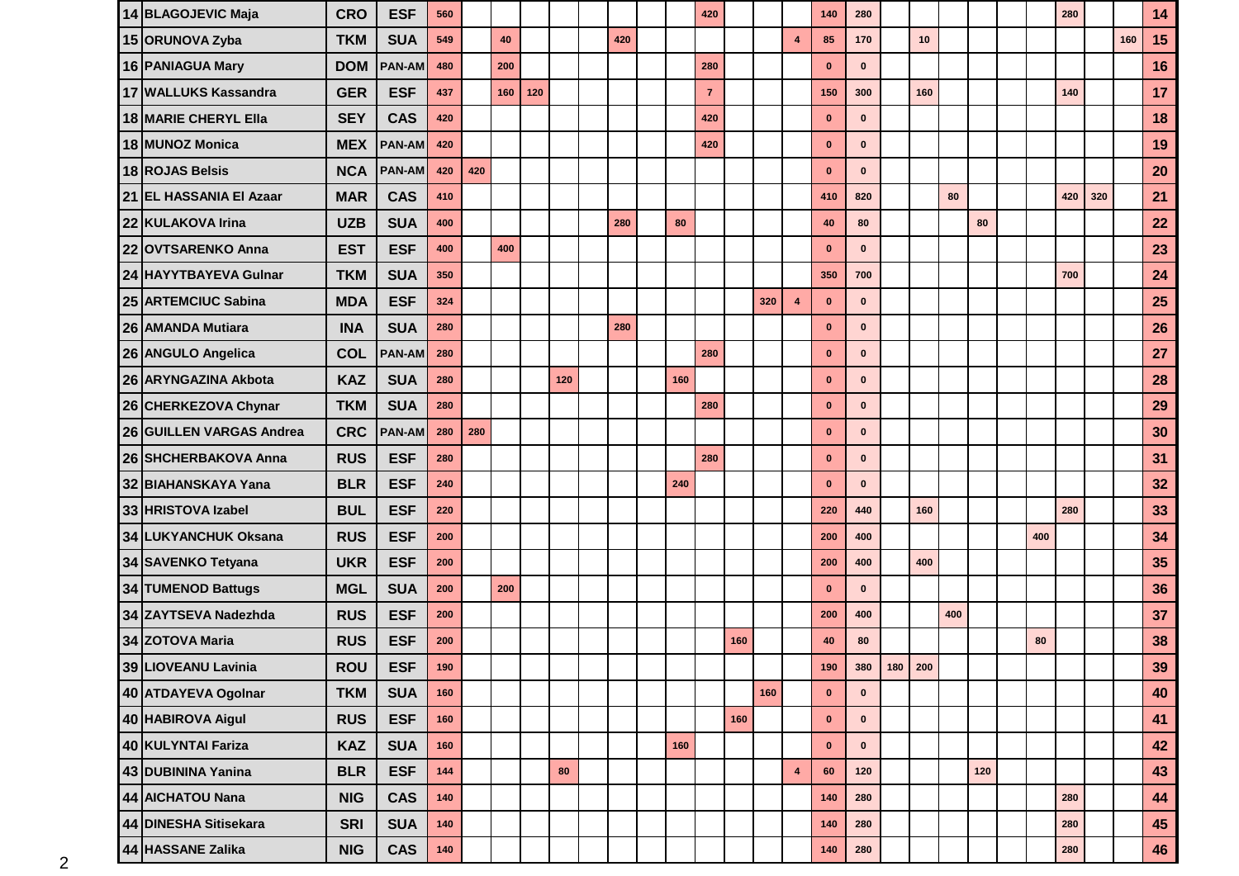| 14 BLAGOJEVIC Maja          | <b>CRO</b> | <b>ESF</b>    | 560   |     |     |     |     |     |     | 420            |     |     |                         | 140          | 280          |         |     |     |     |     | 280 |     |     | 14 |
|-----------------------------|------------|---------------|-------|-----|-----|-----|-----|-----|-----|----------------|-----|-----|-------------------------|--------------|--------------|---------|-----|-----|-----|-----|-----|-----|-----|----|
| 15 ORUNOVA Zyba             | <b>TKM</b> | <b>SUA</b>    | 549   |     | 40  |     |     | 420 |     |                |     |     | $\overline{\mathbf{4}}$ | 85           | 170          |         | 10  |     |     |     |     |     | 160 | 15 |
| 16 PANIAGUA Mary            | <b>DOM</b> | <b>PAN-AM</b> | 480   |     | 200 |     |     |     |     | 280            |     |     |                         | $\mathbf{0}$ | $\mathbf 0$  |         |     |     |     |     |     |     |     | 16 |
| 17 WALLUKS Kassandra        | <b>GER</b> | <b>ESF</b>    | 437   |     | 160 | 120 |     |     |     | $\overline{7}$ |     |     |                         | 150          | 300          |         | 160 |     |     |     | 140 |     |     | 17 |
| <b>18 MARIE CHERYL Ella</b> | <b>SEY</b> | <b>CAS</b>    | 420   |     |     |     |     |     |     | 420            |     |     |                         | $\mathbf 0$  | $\mathbf 0$  |         |     |     |     |     |     |     |     | 18 |
| 18 MUNOZ Monica             | <b>MEX</b> | <b>PAN-AM</b> | 420   |     |     |     |     |     |     | 420            |     |     |                         | $\mathbf{0}$ | $\mathbf{0}$ |         |     |     |     |     |     |     |     | 19 |
| 18 ROJAS Belsis             | <b>NCA</b> | <b>PAN-AM</b> | 420   | 420 |     |     |     |     |     |                |     |     |                         | $\mathbf{0}$ | $\mathbf{0}$ |         |     |     |     |     |     |     |     | 20 |
| 21 EL HASSANIA El Azaar     | <b>MAR</b> | <b>CAS</b>    | 410   |     |     |     |     |     |     |                |     |     |                         | 410          | 820          |         |     | 80  |     |     | 420 | 320 |     | 21 |
| 22 KULAKOVA Irina           | <b>UZB</b> | <b>SUA</b>    | 400   |     |     |     |     | 280 | 80  |                |     |     |                         | 40           | 80           |         |     |     | 80  |     |     |     |     | 22 |
| 22 OVTSARENKO Anna          | <b>EST</b> | <b>ESF</b>    | 400   |     | 400 |     |     |     |     |                |     |     |                         | $\mathbf{0}$ | $\mathbf{0}$ |         |     |     |     |     |     |     |     | 23 |
| 24 HAYYTBAYEVA Gulnar       | <b>TKM</b> | <b>SUA</b>    | 350   |     |     |     |     |     |     |                |     |     |                         | 350          | 700          |         |     |     |     |     | 700 |     |     | 24 |
| 25 ARTEMCIUC Sabina         | <b>MDA</b> | <b>ESF</b>    | 324   |     |     |     |     |     |     |                |     | 320 | $\overline{\mathbf{4}}$ | $\mathbf{0}$ | $\mathbf{0}$ |         |     |     |     |     |     |     |     | 25 |
| 26 AMANDA Mutiara           | <b>INA</b> | <b>SUA</b>    | 280   |     |     |     |     | 280 |     |                |     |     |                         | $\mathbf 0$  | $\mathbf{0}$ |         |     |     |     |     |     |     |     | 26 |
| 26 ANGULO Angelica          | <b>COL</b> | <b>PAN-AM</b> | 280   |     |     |     |     |     |     | 280            |     |     |                         | $\bf{0}$     | $\bf{0}$     |         |     |     |     |     |     |     |     | 27 |
| 26 ARYNGAZINA Akbota        | <b>KAZ</b> | <b>SUA</b>    | 280   |     |     |     | 120 |     | 160 |                |     |     |                         | $\bf{0}$     | $\mathbf{0}$ |         |     |     |     |     |     |     |     | 28 |
| 26 CHERKEZOVA Chynar        | <b>TKM</b> | <b>SUA</b>    | 280   |     |     |     |     |     |     | 280            |     |     |                         | $\bf{0}$     | $\bf{0}$     |         |     |     |     |     |     |     |     | 29 |
| 26 GUILLEN VARGAS Andrea    | <b>CRC</b> | <b>PAN-AM</b> | 280   | 280 |     |     |     |     |     |                |     |     |                         | $\mathbf 0$  | $\mathbf{0}$ |         |     |     |     |     |     |     |     | 30 |
| 26 SHCHERBAKOVA Anna        | <b>RUS</b> | <b>ESF</b>    | 280   |     |     |     |     |     |     | 280            |     |     |                         | $\bf{0}$     | $\mathbf{0}$ |         |     |     |     |     |     |     |     | 31 |
| 32 BIAHANSKAYA Yana         | <b>BLR</b> | <b>ESF</b>    | 240   |     |     |     |     |     | 240 |                |     |     |                         | $\bf{0}$     | $\mathbf{0}$ |         |     |     |     |     |     |     |     | 32 |
| 33 HRISTOVA Izabel          | <b>BUL</b> | <b>ESF</b>    | 220   |     |     |     |     |     |     |                |     |     |                         | 220          | 440          |         | 160 |     |     |     | 280 |     |     | 33 |
| 34 LUKYANCHUK Oksana        | <b>RUS</b> | <b>ESF</b>    | 200   |     |     |     |     |     |     |                |     |     |                         | 200          | 400          |         |     |     |     | 400 |     |     |     | 34 |
| 34 SAVENKO Tetyana          | <b>UKR</b> | <b>ESF</b>    | 200   |     |     |     |     |     |     |                |     |     |                         | 200          | 400          |         | 400 |     |     |     |     |     |     | 35 |
| 34 TUMENOD Battugs          | <b>MGL</b> | <b>SUA</b>    | 200   |     | 200 |     |     |     |     |                |     |     |                         | $\mathbf{0}$ | $\mathbf{0}$ |         |     |     |     |     |     |     |     | 36 |
| 34 ZAYTSEVA Nadezhda        | <b>RUS</b> | <b>ESF</b>    | 200   |     |     |     |     |     |     |                |     |     |                         | 200          | 400          |         |     | 400 |     |     |     |     |     | 37 |
| 34 ZOTOVA Maria             | <b>RUS</b> | <b>ESF</b>    | 200   |     |     |     |     |     |     |                | 160 |     |                         | 40           | 80           |         |     |     |     | 80  |     |     |     | 38 |
| 39 LIOVEANU Lavinia         | ROU        | <b>ESF</b>    | 190   |     |     |     |     |     |     |                |     |     |                         | 190          | 380          | 180 200 |     |     |     |     |     |     |     | 39 |
| 40 ATDAYEVA Ogolnar         | <b>TKM</b> | <b>SUA</b>    | 160   |     |     |     |     |     |     |                |     | 160 |                         | $\mathbf 0$  | $\mathbf 0$  |         |     |     |     |     |     |     |     | 40 |
| 40 HABIROVA Aigul           | <b>RUS</b> | <b>ESF</b>    | 160   |     |     |     |     |     |     |                | 160 |     |                         | $\mathbf 0$  | $\mathbf 0$  |         |     |     |     |     |     |     |     | 41 |
| 40 KULYNTAI Fariza          | <b>KAZ</b> | <b>SUA</b>    | 160   |     |     |     |     |     | 160 |                |     |     |                         | $\mathbf 0$  | $\mathbf 0$  |         |     |     |     |     |     |     |     | 42 |
| 43 DUBININA Yanina          | <b>BLR</b> | <b>ESF</b>    | 144   |     |     |     | 80  |     |     |                |     |     | $\overline{\mathbf{4}}$ | 60           | 120          |         |     |     | 120 |     |     |     |     | 43 |
| 44 AICHATOU Nana            | <b>NIG</b> | <b>CAS</b>    | 140   |     |     |     |     |     |     |                |     |     |                         | 140          | 280          |         |     |     |     |     | 280 |     |     | 44 |
| 44 DINESHA Sitisekara       | <b>SRI</b> | <b>SUA</b>    | 140   |     |     |     |     |     |     |                |     |     |                         | 140          | 280          |         |     |     |     |     | 280 |     |     | 45 |
| 44 HASSANE Zalika           | <b>NIG</b> | CAS           | $140$ |     |     |     |     |     |     |                |     |     |                         | $140$        | 280          |         |     |     |     |     | 280 |     |     | 46 |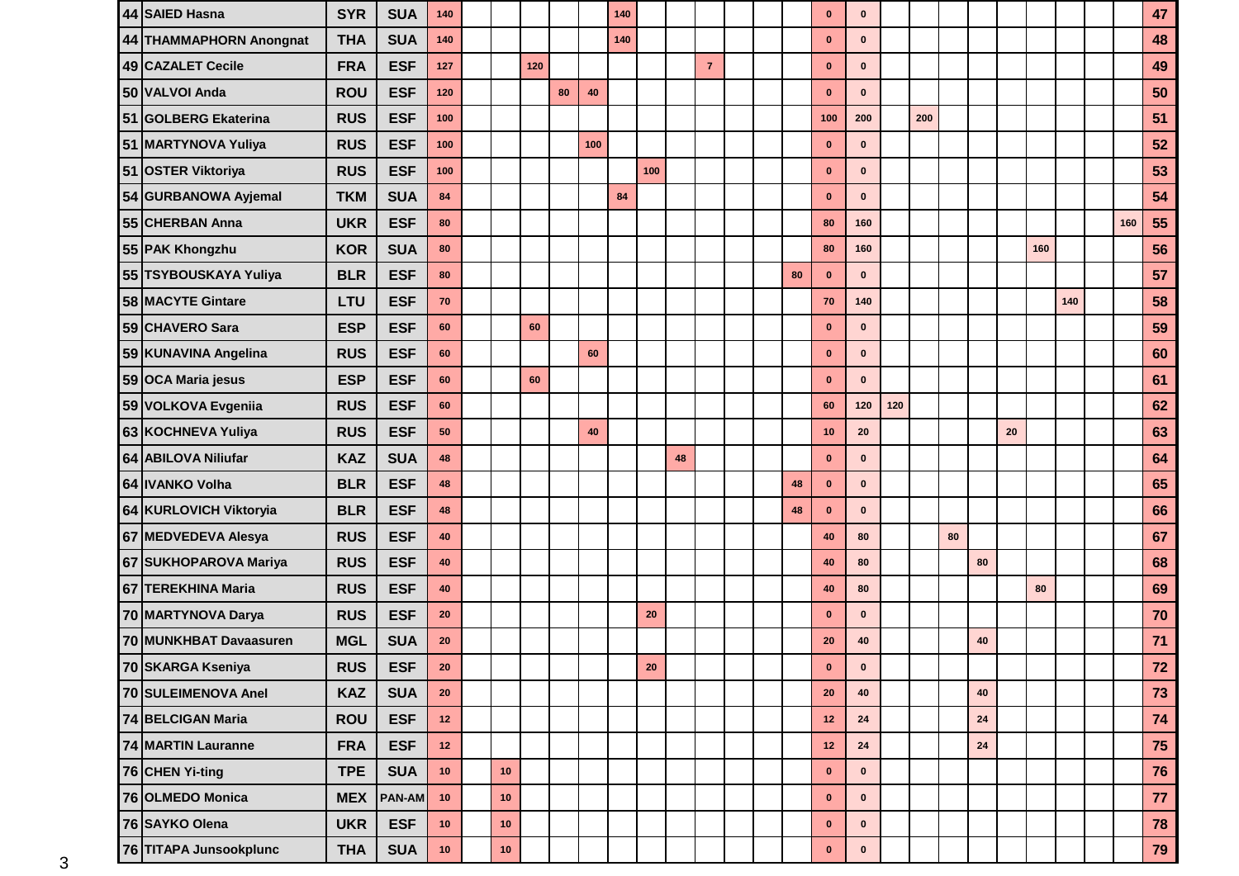| 44 SAIED Hasna          | <b>SYR</b> | <b>SUA</b>    | 140         |      |     |    |     | 140 |     |    |                |  |    | $\bf{0}$     | $\bf{0}$     |     |     |    |            |    |     |     |     | 47   |
|-------------------------|------------|---------------|-------------|------|-----|----|-----|-----|-----|----|----------------|--|----|--------------|--------------|-----|-----|----|------------|----|-----|-----|-----|------|
| 44 THAMMAPHORN Anongnat | <b>THA</b> | <b>SUA</b>    | 140         |      |     |    |     | 140 |     |    |                |  |    | $\bf{0}$     | $\mathbf{0}$ |     |     |    |            |    |     |     |     | 48   |
| 49 CAZALET Cecile       | <b>FRA</b> | <b>ESF</b>    | 127         |      | 120 |    |     |     |     |    | $\overline{7}$ |  |    | $\mathbf 0$  | $\bf{0}$     |     |     |    |            |    |     |     |     | 49   |
| 50 VALVOI Anda          | <b>ROU</b> | <b>ESF</b>    | 120         |      |     | 80 | 40  |     |     |    |                |  |    | $\bf{0}$     | $\bf{0}$     |     |     |    |            |    |     |     |     | 50   |
| 51 GOLBERG Ekaterina    | <b>RUS</b> | <b>ESF</b>    | 100         |      |     |    |     |     |     |    |                |  |    | 100          | 200          |     | 200 |    |            |    |     |     |     | 51   |
| 51 MARTYNOVA Yuliya     | <b>RUS</b> | <b>ESF</b>    | 100         |      |     |    | 100 |     |     |    |                |  |    | $\mathbf 0$  | $\mathbf{0}$ |     |     |    |            |    |     |     |     | 52   |
| 51 OSTER Viktoriya      | <b>RUS</b> | <b>ESF</b>    | 100         |      |     |    |     |     | 100 |    |                |  |    | $\mathbf 0$  | $\bf{0}$     |     |     |    |            |    |     |     |     | 53   |
| 54 GURBANOWA Ayjemal    | <b>TKM</b> | <b>SUA</b>    | 84          |      |     |    |     | 84  |     |    |                |  |    | $\bf{0}$     | $\mathbf{0}$ |     |     |    |            |    |     |     |     | 54   |
| 55 CHERBAN Anna         | <b>UKR</b> | <b>ESF</b>    | 80          |      |     |    |     |     |     |    |                |  |    | 80           | 160          |     |     |    |            |    |     |     | 160 | 55   |
| 55 PAK Khongzhu         | <b>KOR</b> | <b>SUA</b>    | 80          |      |     |    |     |     |     |    |                |  |    | 80           | 160          |     |     |    |            |    | 160 |     |     | 56   |
| 55 TSYBOUSKAYA Yuliya   | <b>BLR</b> | <b>ESF</b>    | 80          |      |     |    |     |     |     |    |                |  | 80 | $\mathbf{0}$ | $\mathbf 0$  |     |     |    |            |    |     |     |     | 57   |
| 58 MACYTE Gintare       | LTU        | <b>ESF</b>    | 70          |      |     |    |     |     |     |    |                |  |    | 70           | 140          |     |     |    |            |    |     | 140 |     | 58   |
| 59 CHAVERO Sara         | <b>ESP</b> | <b>ESF</b>    | 60          |      | 60  |    |     |     |     |    |                |  |    | $\bf{0}$     | $\bf{0}$     |     |     |    |            |    |     |     |     | 59   |
| 59 KUNAVINA Angelina    | <b>RUS</b> | <b>ESF</b>    | 60          |      |     |    | 60  |     |     |    |                |  |    | $\bf{0}$     | $\bf{0}$     |     |     |    |            |    |     |     |     | 60   |
| 59 OCA Maria jesus      | <b>ESP</b> | <b>ESF</b>    | 60          |      | 60  |    |     |     |     |    |                |  |    | $\bf{0}$     | $\bf{0}$     |     |     |    |            |    |     |     |     | 61   |
| 59 VOLKOVA Evgeniia     | <b>RUS</b> | <b>ESF</b>    | 60          |      |     |    |     |     |     |    |                |  |    | 60           | 120          | 120 |     |    |            |    |     |     |     | 62   |
| 63 KOCHNEVA Yuliya      | <b>RUS</b> | <b>ESF</b>    | 50          |      |     |    | 40  |     |     |    |                |  |    | 10           | 20           |     |     |    |            | 20 |     |     |     | 63   |
| 64 ABILOVA Niliufar     | <b>KAZ</b> | <b>SUA</b>    | 48          |      |     |    |     |     |     | 48 |                |  |    | $\mathbf 0$  | $\mathbf{0}$ |     |     |    |            |    |     |     |     | 64   |
| 64 IVANKO Volha         | <b>BLR</b> | <b>ESF</b>    | 48          |      |     |    |     |     |     |    |                |  | 48 | $\bf{0}$     | $\mathbf{0}$ |     |     |    |            |    |     |     |     | 65   |
| 64 KURLOVICH Viktoryia  | <b>BLR</b> | <b>ESF</b>    | 48          |      |     |    |     |     |     |    |                |  | 48 | $\bf{0}$     | $\mathbf{0}$ |     |     |    |            |    |     |     |     | 66   |
| 67 MEDVEDEVA Alesya     | <b>RUS</b> | <b>ESF</b>    | 40          |      |     |    |     |     |     |    |                |  |    | 40           | 80           |     |     | 80 |            |    |     |     |     | 67   |
| 67 SUKHOPAROVA Mariya   | <b>RUS</b> | <b>ESF</b>    | 40          |      |     |    |     |     |     |    |                |  |    | 40           | 80           |     |     |    | 80         |    |     |     |     | 68   |
| 67 TEREKHINA Maria      | <b>RUS</b> | <b>ESF</b>    | 40          |      |     |    |     |     |     |    |                |  |    | 40           | 80           |     |     |    |            |    | 80  |     |     | 69   |
| 70 MARTYNOVA Darya      | <b>RUS</b> | <b>ESF</b>    | 20          |      |     |    |     |     | 20  |    |                |  |    | $\bf{0}$     | $\mathbf{0}$ |     |     |    |            |    |     |     |     | 70   |
| 70 MUNKHBAT Davaasuren  | <b>MGL</b> | <b>SUA</b>    | 20          |      |     |    |     |     |     |    |                |  |    | 20           | 40           |     |     |    | 40         |    |     |     |     | $71$ |
| 70 SKARGA Kseniya       | <b>RUS</b> | <b>ESF</b>    | ${\bf 20}$  |      |     |    |     |     | 20  |    |                |  |    | $\mathbf 0$  |              |     |     |    |            |    |     |     |     | $72$ |
| 70 SULEIMENOVA Anel     | <b>KAZ</b> | <b>SUA</b>    | $20\degree$ |      |     |    |     |     |     |    |                |  |    | 20           | 40           |     |     |    | 40         |    |     |     |     | 73   |
| 74 BELCIGAN Maria       | <b>ROU</b> | <b>ESF</b>    | 12          |      |     |    |     |     |     |    |                |  |    | 12           | 24           |     |     |    | ${\bf 24}$ |    |     |     |     | 74   |
| 74 MARTIN Lauranne      | <b>FRA</b> | <b>ESF</b>    | $12$        |      |     |    |     |     |     |    |                |  |    | 12           | 24           |     |     |    | ${\bf 24}$ |    |     |     |     | 75   |
| 76 CHEN Yi-ting         | <b>TPE</b> | <b>SUA</b>    | 10          | 10   |     |    |     |     |     |    |                |  |    | $\mathbf 0$  | $\mathbf 0$  |     |     |    |            |    |     |     |     | 76   |
| 76 OLMEDO Monica        | <b>MEX</b> | <b>PAN-AM</b> | $10$        | 10   |     |    |     |     |     |    |                |  |    | $\bf{0}$     | $\mathbf 0$  |     |     |    |            |    |     |     |     | 77   |
| 76 SAYKO Olena          | <b>UKR</b> | <b>ESF</b>    | 10          | $10$ |     |    |     |     |     |    |                |  |    | $\mathbf 0$  | $\mathbf 0$  |     |     |    |            |    |     |     |     | 78   |
| 76 TITAPA Junsookplunc  | <b>THA</b> | <b>SUA</b>    | ${\bf 10}$  | $10$ |     |    |     |     |     |    |                |  |    | $\bf{0}$     | $\mathbf 0$  |     |     |    |            |    |     |     |     | 79   |